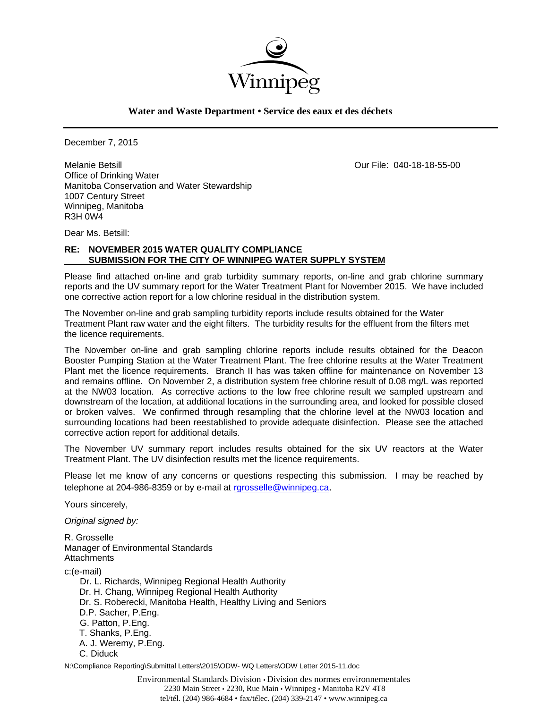

**Water and Waste Department • Service des eaux et des déchets**

December 7, 2015

Melanie Betsill Our File: 040-18-18-55-00 Office of Drinking Water Manitoba Conservation and Water Stewardship 1007 Century Street Winnipeg, Manitoba R3H 0W4

Dear Ms. Betsill:

## **RE: NOVEMBER 2015 WATER QUALITY COMPLIANCE SUBMISSION FOR THE CITY OF WINNIPEG WATER SUPPLY SYSTEM**

Please find attached on-line and grab turbidity summary reports, on-line and grab chlorine summary reports and the UV summary report for the Water Treatment Plant for November 2015. We have included one corrective action report for a low chlorine residual in the distribution system.

The November on-line and grab sampling turbidity reports include results obtained for the Water Treatment Plant raw water and the eight filters. The turbidity results for the effluent from the filters met the licence requirements.

The November on-line and grab sampling chlorine reports include results obtained for the Deacon Booster Pumping Station at the Water Treatment Plant. The free chlorine results at the Water Treatment Plant met the licence requirements. Branch II has was taken offline for maintenance on November 13 and remains offline. On November 2, a distribution system free chlorine result of 0.08 mg/L was reported at the NW03 location. As corrective actions to the low free chlorine result we sampled upstream and downstream of the location, at additional locations in the surrounding area, and looked for possible closed or broken valves. We confirmed through resampling that the chlorine level at the NW03 location and surrounding locations had been reestablished to provide adequate disinfection. Please see the attached corrective action report for additional details.

The November UV summary report includes results obtained for the six UV reactors at the Water Treatment Plant. The UV disinfection results met the licence requirements.

Please let me know of any concerns or questions respecting this submission. I may be reached by telephone at 204-986-8359 or by e-mail at rgrosselle@winnipeg.ca.

Yours sincerely,

*Original signed by:* 

R. Grosselle Manager of Environmental Standards **Attachments** c:(e-mail) Dr. L. Richards, Winnipeg Regional Health Authority Dr. H. Chang, Winnipeg Regional Health Authority Dr. S. Roberecki, Manitoba Health, Healthy Living and Seniors D.P. Sacher, P.Eng. G. Patton, P.Eng. T. Shanks, P.Eng. A. J. Weremy, P.Eng. C. Diduck

N:\Compliance Reporting\Submittal Letters\2015\ODW- WQ Letters\ODW Letter 2015-11.doc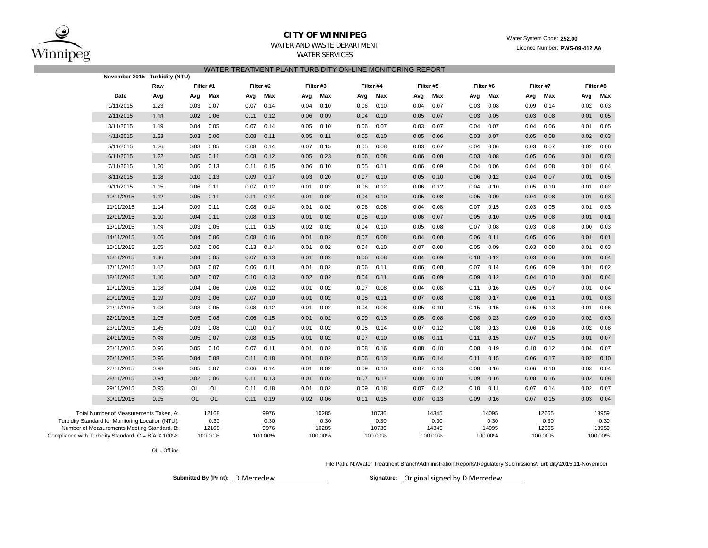

### **CITY OF WINNIPEG**WATER AND WASTE DEPARTMENT

## WATER SERVICES WATER TREATMENT PLANT TURBIDITY ON-LINE MONITORING REPORT

| November 2015 Turbidity (NTU)                                                                    |      |           |               |      |              |      |               |      |               |      |               |      |               |      |               |      |               |
|--------------------------------------------------------------------------------------------------|------|-----------|---------------|------|--------------|------|---------------|------|---------------|------|---------------|------|---------------|------|---------------|------|---------------|
|                                                                                                  | Raw  |           | Filter #1     |      | Filter #2    |      | Filter #3     |      | Filter #4     |      | Filter #5     |      | Filter #6     |      | Filter #7     |      | Filter #8     |
| Date                                                                                             | Avg  | Avg       | Max           | Avg  | Max          | Avg  | Max           | Avg  | Max           | Avg  | Max           | Avg  | Max           | Avg  | Max           | Avg  | Max           |
| 1/11/2015                                                                                        | 1.23 | 0.03      | 0.07          | 0.07 | 0.14         | 0.04 | 0.10          | 0.06 | 0.10          | 0.04 | 0.07          | 0.03 | 0.08          | 0.09 | 0.14          | 0.02 | 0.03          |
| 2/11/2015                                                                                        | 1.18 | 0.02      | 0.06          | 0.11 | 0.12         | 0.06 | 0.09          | 0.04 | 0.10          | 0.05 | 0.07          | 0.03 | 0.05          | 0.03 | 0.08          | 0.01 | 0.05          |
| 3/11/2015                                                                                        | 1.19 | 0.04      | 0.05          | 0.07 | 0.14         | 0.05 | 0.10          | 0.06 | 0.07          | 0.03 | 0.07          | 0.04 | 0.07          | 0.04 | 0.06          | 0.01 | 0.05          |
| 4/11/2015                                                                                        | 1.23 | 0.03      | 0.06          | 0.08 | 0.11         | 0.05 | 0.11          | 0.05 | 0.10          | 0.05 | 0.06          | 0.03 | 0.07          | 0.05 | 0.08          | 0.02 | 0.03          |
| 5/11/2015                                                                                        | 1.26 | 0.03      | 0.05          | 0.08 | 0.14         | 0.07 | 0.15          | 0.05 | 0.08          | 0.03 | 0.07          | 0.04 | 0.06          | 0.03 | 0.07          | 0.02 | 0.06          |
| 6/11/2015                                                                                        | 1.22 | 0.05      | 0.11          | 0.08 | 0.12         | 0.05 | 0.23          | 0.06 | 0.08          | 0.06 | 0.08          | 0.03 | 0.08          | 0.05 | 0.06          | 0.01 | 0.03          |
| 7/11/2015                                                                                        | 1.20 | 0.06      | 0.13          | 0.11 | 0.15         | 0.06 | 0.10          | 0.05 | 0.11          | 0.06 | 0.09          | 0.04 | 0.06          | 0.04 | 0.08          | 0.01 | 0.04          |
| 8/11/2015                                                                                        | 1.18 | 0.10      | 0.13          | 0.09 | 0.17         | 0.03 | 0.20          | 0.07 | 0.10          | 0.05 | 0.10          | 0.06 | 0.12          | 0.04 | 0.07          | 0.01 | 0.05          |
| 9/11/2015                                                                                        | 1.15 | 0.06      | 0.11          | 0.07 | 0.12         | 0.01 | 0.02          | 0.06 | 0.12          | 0.06 | 0.12          | 0.04 | 0.10          | 0.05 | 0.10          | 0.01 | 0.02          |
| 10/11/2015                                                                                       | 1.12 | 0.05      | 0.11          | 0.11 | 0.14         | 0.01 | 0.02          | 0.04 | 0.10          | 0.05 | 0.08          | 0.05 | 0.09          | 0.04 | 0.08          | 0.01 | 0.03          |
| 11/11/2015                                                                                       | 1.14 | 0.09      | 0.11          | 0.08 | 0.14         | 0.01 | 0.02          | 0.06 | 0.08          | 0.04 | 0.08          | 0.07 | 0.15          | 0.03 | 0.05          | 0.01 | 0.03          |
| 12/11/2015                                                                                       | 1.10 | 0.04      | 0.11          | 0.08 | 0.13         | 0.01 | 0.02          | 0.05 | 0.10          | 0.06 | 0.07          | 0.05 | 0.10          | 0.05 | 0.08          | 0.01 | 0.01          |
| 13/11/2015                                                                                       | 1.09 | 0.03      | 0.05          | 0.11 | 0.15         | 0.02 | 0.02          | 0.04 | 0.10          | 0.05 | 0.08          | 0.07 | 0.08          | 0.03 | 0.08          | 0.00 | 0.03          |
| 14/11/2015                                                                                       | 1.06 | 0.04      | 0.06          | 0.08 | 0.16         | 0.01 | 0.02          | 0.07 | 0.08          | 0.04 | 0.08          | 0.06 | 0.11          | 0.05 | 0.06          | 0.01 | 0.01          |
| 15/11/2015                                                                                       | 1.05 | 0.02      | 0.06          | 0.13 | 0.14         | 0.01 | 0.02          | 0.04 | 0.10          | 0.07 | 0.08          | 0.05 | 0.09          | 0.03 | 0.08          | 0.01 | 0.03          |
| 16/11/2015                                                                                       | 1.46 | 0.04      | 0.05          | 0.07 | 0.13         | 0.01 | 0.02          | 0.06 | 0.08          | 0.04 | 0.09          | 0.10 | 0.12          | 0.03 | 0.06          | 0.01 | 0.04          |
| 17/11/2015                                                                                       | 1.12 | 0.03      | 0.07          | 0.06 | 0.11         | 0.01 | 0.02          | 0.06 | 0.11          | 0.06 | 0.08          | 0.07 | 0.14          | 0.06 | 0.09          | 0.01 | 0.02          |
| 18/11/2015                                                                                       | 1.10 | 0.02      | 0.07          | 0.10 | 0.13         | 0.02 | 0.02          | 0.04 | 0.11          | 0.06 | 0.09          | 0.09 | 0.12          | 0.04 | 0.10          | 0.01 | 0.04          |
| 19/11/2015                                                                                       | 1.18 | 0.04      | 0.06          | 0.06 | 0.12         | 0.01 | 0.02          | 0.07 | 0.08          | 0.04 | 0.08          | 0.11 | 0.16          | 0.05 | 0.07          | 0.01 | 0.04          |
| 20/11/2015                                                                                       | 1.19 | 0.03      | 0.06          | 0.07 | 0.10         | 0.01 | 0.02          | 0.05 | 0.11          | 0.07 | 0.08          | 0.08 | 0.17          | 0.06 | 0.11          | 0.01 | 0.03          |
| 21/11/2015                                                                                       | 1.08 | 0.03      | 0.05          | 0.08 | 0.12         | 0.01 | 0.02          | 0.04 | 0.08          | 0.05 | 0.10          | 0.15 | 0.15          | 0.05 | 0.13          | 0.01 | 0.06          |
| 22/11/2015                                                                                       | 1.05 | 0.05      | 0.08          | 0.06 | 0.15         | 0.01 | 0.02          | 0.09 | 0.13          | 0.05 | 0.08          | 0.08 | 0.23          | 0.09 | 0.10          | 0.02 | 0.03          |
| 23/11/2015                                                                                       | 1.45 | 0.03      | 0.08          | 0.10 | 0.17         | 0.01 | 0.02          | 0.05 | 0.14          | 0.07 | 0.12          | 0.08 | 0.13          | 0.06 | 0.16          | 0.02 | 0.08          |
| 24/11/2015                                                                                       | 0.99 | 0.05      | 0.07          | 0.08 | 0.15         | 0.01 | 0.02          | 0.07 | 0.10          | 0.06 | 0.11          | 0.11 | 0.15          | 0.07 | 0.15          | 0.01 | 0.07          |
| 25/11/2015                                                                                       | 0.96 | 0.05      | 0.10          | 0.07 | 0.11         | 0.01 | 0.02          | 0.08 | 0.16          | 0.08 | 0.10          | 0.08 | 0.19          | 0.10 | 0.12          | 0.04 | 0.07          |
| 26/11/2015                                                                                       | 0.96 | 0.04      | 0.08          | 0.11 | 0.18         | 0.01 | 0.02          | 0.06 | 0.13          | 0.06 | 0.14          | 0.11 | 0.15          | 0.06 | 0.17          | 0.02 | 0.10          |
| 27/11/2015                                                                                       | 0.98 | 0.05      | 0.07          | 0.06 | 0.14         | 0.01 | 0.02          | 0.09 | 0.10          | 0.07 | 0.13          | 0.08 | 0.16          | 0.06 | 0.10          | 0.03 | 0.04          |
| 28/11/2015                                                                                       | 0.94 | 0.02      | 0.06          | 0.11 | 0.13         | 0.01 | 0.02          | 0.07 | 0.17          | 0.08 | 0.10          | 0.09 | 0.16          | 0.08 | 0.16          | 0.02 | 0.08          |
| 29/11/2015                                                                                       | 0.95 | <b>OL</b> | OL            | 0.11 | 0.18         | 0.01 | 0.02          | 0.09 | 0.18          | 0.07 | 0.12          | 0.10 | 0.11          | 0.07 | 0.14          | 0.02 | 0.07          |
| 30/11/2015                                                                                       | 0.95 | <b>OL</b> | <b>OL</b>     | 0.11 | 0.19         | 0.02 | 0.06          | 0.11 | 0.15          | 0.07 | 0.13          | 0.09 | 0.16          | 0.07 | 0.15          | 0.03 | 0.04          |
| Total Number of Measurements Taken, A:                                                           |      |           | 12168         |      | 9976         |      | 10285         |      | 10736         |      | 14345         |      | 14095         |      | 12665         |      | 13959         |
| Turbidity Standard for Monitoring Location (NTU):<br>Number of Measurements Meeting Standard, B: |      |           | 0.30<br>12168 |      | 0.30<br>9976 |      | 0.30<br>10285 |      | 0.30<br>10736 |      | 0.30<br>14345 |      | 0.30<br>14095 |      | 0.30<br>12665 |      | 0.30<br>13959 |
| Compliance with Turbidity Standard, C = B/A X 100%:                                              |      |           | 100.00%       |      | 100.00%      |      | 100.00%       |      | 100.00%       |      | 100.00%       |      | 100.00%       |      | 100.00%       |      | 100.00%       |
|                                                                                                  |      |           |               |      |              |      |               |      |               |      |               |      |               |      |               |      |               |

OL <sup>=</sup> Offline

File Path: N:\Water Treatment Branch\Administration\Reports\Regulatory Submissions\Turbidity\2015\11-November

**Submitted By (Print): Signature:** D.Merredew

Signature: Original signed by D.Merredew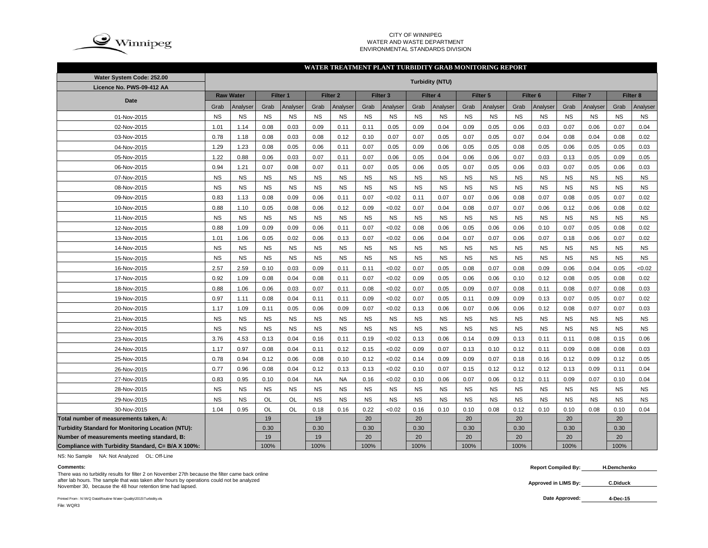

#### CITY OF WINNIPEG WATER AND WASTE DEPARTMENTENVIRONMENTAL STANDARDS DIVISION

#### **WATER TREATMENT PLANT TURBIDITY GRAB MONITORING REPORT**

| Water System Code: 252.00                                |           |                  |           |           |           |                     |           |                     |           | <b>Turbidity (NTU)</b> |           |                     |           |                     |           |                     |           |                     |
|----------------------------------------------------------|-----------|------------------|-----------|-----------|-----------|---------------------|-----------|---------------------|-----------|------------------------|-----------|---------------------|-----------|---------------------|-----------|---------------------|-----------|---------------------|
| Licence No. PWS-09-412 AA                                |           |                  |           |           |           |                     |           |                     |           |                        |           |                     |           |                     |           |                     |           |                     |
| <b>Date</b>                                              |           | <b>Raw Water</b> |           | Filter 1  |           | Filter <sub>2</sub> |           | Filter <sub>3</sub> |           | Filter <sub>4</sub>    |           | Filter <sub>5</sub> |           | Filter <sub>6</sub> |           | Filter <sub>7</sub> |           | Filter <sub>8</sub> |
|                                                          | Grab      | Analyser         | Grab      | Analyser  | Grab      | Analyser            | Grab      | Analyser            | Grab      | Analyser               | Grab      | Analyser            | Grab      | Analyser            | Grab      | Analyser            | Grab      | Analyser            |
| 01-Nov-2015                                              | <b>NS</b> | NS               | <b>NS</b> | <b>NS</b> | <b>NS</b> | <b>NS</b>           | <b>NS</b> | <b>NS</b>           | <b>NS</b> | <b>NS</b>              | <b>NS</b> | <b>NS</b>           | <b>NS</b> | <b>NS</b>           | <b>NS</b> | <b>NS</b>           | <b>NS</b> | <b>NS</b>           |
| 02-Nov-2015                                              | 1.01      | 1.14             | 0.08      | 0.03      | 0.09      | 0.11                | 0.11      | 0.05                | 0.09      | 0.04                   | 0.09      | 0.05                | 0.06      | 0.03                | 0.07      | 0.06                | 0.07      | 0.04                |
| 03-Nov-2015                                              | 0.78      | 1.18             | 0.08      | 0.03      | 0.08      | 0.12                | 0.10      | 0.07                | 0.07      | 0.05                   | 0.07      | 0.05                | 0.07      | 0.04                | 0.08      | 0.04                | 0.08      | 0.02                |
| 04-Nov-2015                                              | 1.29      | 1.23             | 0.08      | 0.05      | 0.06      | 0.11                | 0.07      | 0.05                | 0.09      | 0.06                   | 0.05      | 0.05                | 0.08      | 0.05                | 0.06      | 0.05                | 0.05      | 0.03                |
| 05-Nov-2015                                              | 1.22      | 0.88             | 0.06      | 0.03      | 0.07      | 0.11                | 0.07      | 0.06                | 0.05      | 0.04                   | 0.06      | 0.06                | 0.07      | 0.03                | 0.13      | 0.05                | 0.09      | 0.05                |
| 06-Nov-2015                                              | 0.94      | 1.21             | 0.07      | 0.08      | 0.07      | 0.11                | 0.07      | 0.05                | 0.06      | 0.05                   | 0.07      | 0.05                | 0.06      | 0.03                | 0.07      | 0.05                | 0.06      | 0.03                |
| 07-Nov-2015                                              | <b>NS</b> | <b>NS</b>        | <b>NS</b> | <b>NS</b> | <b>NS</b> | <b>NS</b>           | <b>NS</b> | <b>NS</b>           | <b>NS</b> | <b>NS</b>              | <b>NS</b> | <b>NS</b>           | <b>NS</b> | <b>NS</b>           | <b>NS</b> | <b>NS</b>           | <b>NS</b> | <b>NS</b>           |
| 08-Nov-2015                                              | <b>NS</b> | <b>NS</b>        | <b>NS</b> | <b>NS</b> | <b>NS</b> | <b>NS</b>           | <b>NS</b> | <b>NS</b>           | <b>NS</b> | <b>NS</b>              | <b>NS</b> | <b>NS</b>           | <b>NS</b> | <b>NS</b>           | <b>NS</b> | <b>NS</b>           | <b>NS</b> | <b>NS</b>           |
| 09-Nov-2015                                              | 0.83      | 1.13             | 0.08      | 0.09      | 0.06      | 0.11                | 0.07      | <0.02               | 0.11      | 0.07                   | 0.07      | 0.06                | 0.08      | 0.07                | 0.08      | 0.05                | 0.07      | 0.02                |
| 10-Nov-2015                                              | 0.88      | 1.10             | 0.05      | 0.08      | 0.06      | 0.12                | 0.09      | <0.02               | 0.07      | 0.04                   | 0.08      | 0.07                | 0.07      | 0.06                | 0.12      | 0.06                | 0.08      | 0.02                |
| 11-Nov-2015                                              | <b>NS</b> | <b>NS</b>        | <b>NS</b> | <b>NS</b> | <b>NS</b> | <b>NS</b>           | <b>NS</b> | <b>NS</b>           | <b>NS</b> | <b>NS</b>              | <b>NS</b> | <b>NS</b>           | <b>NS</b> | <b>NS</b>           | <b>NS</b> | <b>NS</b>           | <b>NS</b> | <b>NS</b>           |
| 12-Nov-2015                                              | 0.88      | 1.09             | 0.09      | 0.09      | 0.06      | 0.11                | 0.07      | <0.02               | 0.08      | 0.06                   | 0.05      | 0.06                | 0.06      | 0.10                | 0.07      | 0.05                | 0.08      | 0.02                |
| 13-Nov-2015                                              | 1.01      | 1.06             | 0.05      | 0.02      | 0.06      | 0.13                | 0.07      | <0.02               | 0.06      | 0.04                   | 0.07      | 0.07                | 0.06      | 0.07                | 0.18      | 0.06                | 0.07      | 0.02                |
| 14-Nov-2015                                              | <b>NS</b> | <b>NS</b>        | <b>NS</b> | <b>NS</b> | <b>NS</b> | <b>NS</b>           | <b>NS</b> | <b>NS</b>           | <b>NS</b> | <b>NS</b>              | <b>NS</b> | <b>NS</b>           | <b>NS</b> | <b>NS</b>           | <b>NS</b> | <b>NS</b>           | <b>NS</b> | <b>NS</b>           |
| 15-Nov-2015                                              | <b>NS</b> | <b>NS</b>        | <b>NS</b> | <b>NS</b> | <b>NS</b> | <b>NS</b>           | <b>NS</b> | <b>NS</b>           | <b>NS</b> | <b>NS</b>              | <b>NS</b> | <b>NS</b>           | <b>NS</b> | <b>NS</b>           | <b>NS</b> | <b>NS</b>           | <b>NS</b> | <b>NS</b>           |
| 16-Nov-2015                                              | 2.57      | 2.59             | 0.10      | 0.03      | 0.09      | 0.11                | 0.11      | <0.02               | 0.07      | 0.05                   | 0.08      | 0.07                | 0.08      | 0.09                | 0.06      | 0.04                | 0.05      | < 0.02              |
| 17-Nov-2015                                              | 0.92      | 1.09             | 0.08      | 0.04      | 0.08      | 0.11                | 0.07      | <0.02               | 0.09      | 0.05                   | 0.06      | 0.06                | 0.10      | 0.12                | 0.08      | 0.05                | 0.08      | 0.02                |
| 18-Nov-2015                                              | 0.88      | 1.06             | 0.06      | 0.03      | 0.07      | 0.11                | 0.08      | <0.02               | 0.07      | 0.05                   | 0.09      | 0.07                | 0.08      | 0.11                | 0.08      | 0.07                | 0.08      | 0.03                |
| 19-Nov-2015                                              | 0.97      | 1.11             | 0.08      | 0.04      | 0.11      | 0.11                | 0.09      | <0.02               | 0.07      | 0.05                   | 0.11      | 0.09                | 0.09      | 0.13                | 0.07      | 0.05                | 0.07      | 0.02                |
| 20-Nov-2015                                              | 1.17      | 1.09             | 0.11      | 0.05      | 0.06      | 0.09                | 0.07      | <0.02               | 0.13      | 0.06                   | 0.07      | 0.06                | 0.06      | 0.12                | 0.08      | 0.07                | 0.07      | 0.03                |
| 21-Nov-2015                                              | <b>NS</b> | <b>NS</b>        | <b>NS</b> | <b>NS</b> | <b>NS</b> | <b>NS</b>           | <b>NS</b> | <b>NS</b>           | <b>NS</b> | <b>NS</b>              | <b>NS</b> | <b>NS</b>           | <b>NS</b> | <b>NS</b>           | <b>NS</b> | <b>NS</b>           | <b>NS</b> | <b>NS</b>           |
| 22-Nov-2015                                              | <b>NS</b> | <b>NS</b>        | <b>NS</b> | <b>NS</b> | <b>NS</b> | <b>NS</b>           | <b>NS</b> | <b>NS</b>           | <b>NS</b> | <b>NS</b>              | <b>NS</b> | <b>NS</b>           | <b>NS</b> | <b>NS</b>           | <b>NS</b> | <b>NS</b>           | <b>NS</b> | <b>NS</b>           |
| 23-Nov-2015                                              | 3.76      | 4.53             | 0.13      | 0.04      | 0.16      | 0.11                | 0.19      | <0.02               | 0.13      | 0.06                   | 0.14      | 0.09                | 0.13      | 0.11                | 0.11      | 0.08                | 0.15      | 0.06                |
| 24-Nov-2015                                              | 1.17      | 0.97             | 0.08      | 0.04      | 0.11      | 0.12                | 0.15      | <0.02               | 0.09      | 0.07                   | 0.13      | 0.10                | 0.12      | 0.11                | 0.09      | 0.08                | 0.08      | 0.03                |
| 25-Nov-2015                                              | 0.78      | 0.94             | 0.12      | 0.06      | 0.08      | 0.10                | 0.12      | <0.02               | 0.14      | 0.09                   | 0.09      | 0.07                | 0.18      | 0.16                | 0.12      | 0.09                | 0.12      | 0.05                |
| 26-Nov-2015                                              | 0.77      | 0.96             | 0.08      | 0.04      | 0.12      | 0.13                | 0.13      | <0.02               | 0.10      | 0.07                   | 0.15      | 0.12                | 0.12      | 0.12                | 0.13      | 0.09                | 0.11      | 0.04                |
| 27-Nov-2015                                              | 0.83      | 0.95             | 0.10      | 0.04      | <b>NA</b> | <b>NA</b>           | 0.16      | <0.02               | 0.10      | 0.06                   | 0.07      | 0.06                | 0.12      | 0.11                | 0.09      | 0.07                | 0.10      | 0.04                |
| 28-Nov-2015                                              | <b>NS</b> | <b>NS</b>        | <b>NS</b> | <b>NS</b> | <b>NS</b> | <b>NS</b>           | <b>NS</b> | <b>NS</b>           | <b>NS</b> | <b>NS</b>              | <b>NS</b> | <b>NS</b>           | <b>NS</b> | <b>NS</b>           | <b>NS</b> | <b>NS</b>           | <b>NS</b> | <b>NS</b>           |
| 29-Nov-2015                                              | <b>NS</b> | <b>NS</b>        | OL        | OL        | <b>NS</b> | <b>NS</b>           | <b>NS</b> | <b>NS</b>           | <b>NS</b> | <b>NS</b>              | <b>NS</b> | <b>NS</b>           | <b>NS</b> | <b>NS</b>           | <b>NS</b> | <b>NS</b>           | <b>NS</b> | <b>NS</b>           |
| 30-Nov-2015                                              | 1.04      | 0.95             | OL        | OL        | 0.18      | 0.16                | 0.22      | <0.02               | 0.16      | 0.10                   | 0.10      | 0.08                | 0.12      | 0.10                | 0.10      | 0.08                | 0.10      | 0.04                |
| Total number of measurements taken, A:                   |           |                  | 19        |           | 19        |                     | 20        |                     | 20        |                        | 20        |                     | 20        |                     | 20        |                     | 20        |                     |
| <b>Turbidity Standard for Monitoring Location (NTU):</b> |           |                  | 0.30      |           | 0.30      |                     | 0.30      |                     | 0.30      |                        | 0.30      |                     | 0.30      |                     | 0.30      |                     | 0.30      |                     |
| Number of measurements meeting standard, B:              |           |                  | 19        |           | 19        |                     | 20        |                     | 20        |                        | 20        |                     | 20        |                     | 20        |                     | 20        |                     |
| Compliance with Turbidity Standard, C= B/A X 100%:       |           |                  | 100%      |           | 100%      |                     | 100%      |                     | 100%      |                        | 100%      |                     | 100%      |                     | 100%      |                     | 100%      |                     |

NS: No Sample NA: Not Analyzed OL: Off-Line

#### **Comments:**

There was no turbidity results for filter 2 on November 27th because the filter came back online after lab hours. The sample that was taken after hours by operations could not be analyzed and hours. The sample that was taken and hours by operations could not be analyzed<br>November 30, because the 48 hour retention time had lapsed. **C.Diduck** 

Printed From : N:\WQ Data\Routine Water Quality\2015\Turbidity.xls **Date Approved:** 

 **Report Compiled By: H.Demchenko**

**Approved in LIMS By:**

**4-Dec-15**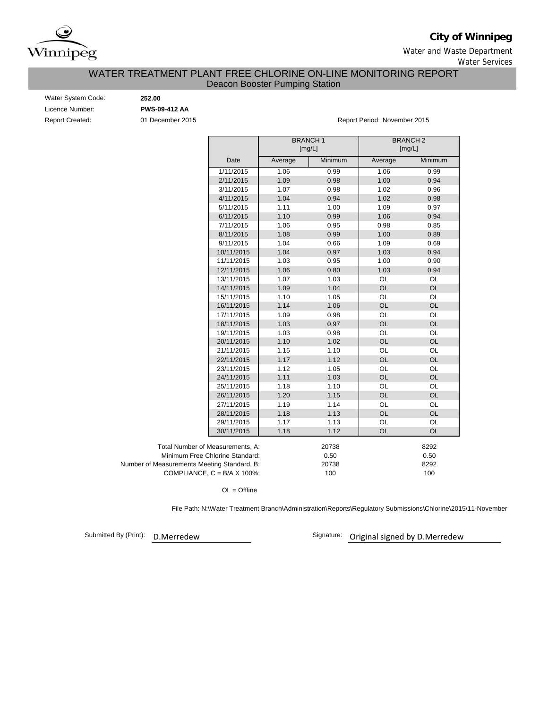

# **City of Winnipeg**

Water and Waste Department Water Services

## Deacon Booster Pumping Station WATER TREATMENT PLANT FREE CHLORINE ON-LINE MONITORING REPORT

| Water System Code:     |
|------------------------|
| Licence Number:        |
| <b>Report Created:</b> |

 $252.00$ Licence Number: **PWS-09-412 AA**

Report Created: 01 December 2015 Report Period: November 2015

|                                             |                                      | <b>BRANCH1</b><br>[mg/L] |         | <b>BRANCH2</b><br>[mg/L] |           |
|---------------------------------------------|--------------------------------------|--------------------------|---------|--------------------------|-----------|
|                                             | Date                                 | Average                  | Minimum | Average                  | Minimum   |
|                                             | 1/11/2015                            | 1.06                     | 0.99    | 1.06                     | 0.99      |
|                                             | 2/11/2015                            | 1.09                     | 0.98    | 1.00                     | 0.94      |
|                                             | 3/11/2015                            | 1.07                     | 0.98    | 1.02                     | 0.96      |
|                                             | 4/11/2015                            | 1.04                     | 0.94    | 1.02                     | 0.98      |
|                                             | 5/11/2015                            | 1.11                     | 1.00    | 1.09                     | 0.97      |
|                                             | 6/11/2015                            | 1.10                     | 0.99    | 1.06                     | 0.94      |
|                                             | 7/11/2015                            | 1.06                     | 0.95    | 0.98                     | 0.85      |
|                                             | 8/11/2015                            | 1.08                     | 0.99    | 1.00                     | 0.89      |
|                                             | 9/11/2015                            | 1.04                     | 0.66    | 1.09                     | 0.69      |
|                                             | 10/11/2015                           | 1.04                     | 0.97    | 1.03                     | 0.94      |
|                                             | 11/11/2015                           | 1.03                     | 0.95    | 1.00                     | 0.90      |
|                                             | 12/11/2015                           | 1.06                     | 0.80    | 1.03                     | 0.94      |
|                                             | 13/11/2015                           | 1.07                     | 1.03    | OL                       | OL        |
|                                             | 14/11/2015                           | 1.09                     | 1.04    | <b>OL</b>                | <b>OL</b> |
|                                             | 15/11/2015                           | 1.10                     | 1.05    | OL                       | OL        |
|                                             | 16/11/2015                           | 1.14                     | 1.06    | OL                       | <b>OL</b> |
|                                             | 17/11/2015                           | 1.09                     | 0.98    | OL                       | OL        |
|                                             | 18/11/2015                           | 1.03                     | 0.97    | <b>OL</b>                | <b>OL</b> |
|                                             | 19/11/2015                           | 1.03                     | 0.98    | OL                       | OL        |
|                                             | 20/11/2015                           | 1.10                     | 1.02    | <b>OL</b>                | <b>OL</b> |
|                                             | 21/11/2015                           | 1.15                     | 1.10    | OL                       | <b>OL</b> |
|                                             | 22/11/2015                           | 1.17                     | 1.12    | OL                       | <b>OL</b> |
|                                             | 23/11/2015                           | 1.12                     | 1.05    | OL                       | <b>OL</b> |
|                                             | 24/11/2015                           | 1.11                     | 1.03    | OL                       | <b>OL</b> |
|                                             | 25/11/2015                           | 1.18                     | 1.10    | OL                       | OL        |
|                                             | 26/11/2015                           | 1.20                     | 1.15    | <b>OL</b>                | <b>OL</b> |
|                                             | 27/11/2015                           | 1.19                     | 1.14    | OL                       | OL        |
|                                             | 28/11/2015                           | 1.18                     | 1.13    | <b>OL</b>                | <b>OL</b> |
|                                             | 29/11/2015                           | 1.17                     | 1.13    | OL                       | OL        |
|                                             | 30/11/2015                           | 1.18                     | 1.12    | OL                       | OL        |
| Total Number of Measurements, A:            |                                      |                          | 20738   |                          | 8292      |
|                                             | Minimum Free Chlorine Standard:      |                          | 0.50    |                          | 0.50      |
| Number of Measurements Meeting Standard, B: |                                      |                          | 20738   |                          | 8292      |
|                                             | COMPLIANCE, $C = B/A \times 100\%$ : |                          | 100     |                          | 100       |

OL = Offline

File Path: N:\Water Treatment Branch\Administration\Reports\Regulatory Submissions\Chlorine\2015\11-November

Submitted By (Print):

D.Merredew **Calcular Signature**: Original signed by D.Merredew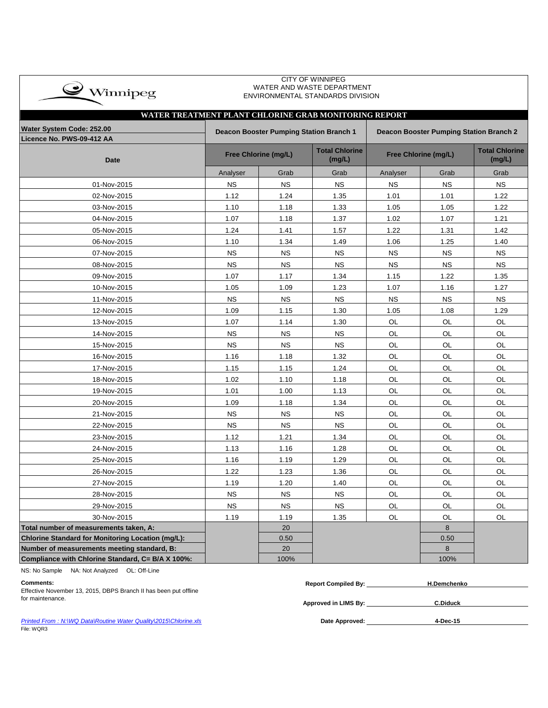| $\rightarrow$ Winnipeg                                |           |                                         | <b>CITY OF WINNIPEG</b><br>WATER AND WASTE DEPARTMENT<br>ENVIRONMENTAL STANDARDS DIVISION |                                         |                      |                                 |  |  |  |  |
|-------------------------------------------------------|-----------|-----------------------------------------|-------------------------------------------------------------------------------------------|-----------------------------------------|----------------------|---------------------------------|--|--|--|--|
| WATER TREATMENT PLANT CHLORINE GRAB MONITORING REPORT |           |                                         |                                                                                           |                                         |                      |                                 |  |  |  |  |
| Water System Code: 252.00                             |           | Deacon Booster Pumping Station Branch 1 |                                                                                           | Deacon Booster Pumping Station Branch 2 |                      |                                 |  |  |  |  |
| Licence No. PWS-09-412 AA                             |           |                                         |                                                                                           |                                         |                      |                                 |  |  |  |  |
| <b>Date</b>                                           |           | Free Chlorine (mg/L)                    | <b>Total Chlorine</b><br>(mg/L)                                                           |                                         | Free Chlorine (mg/L) | <b>Total Chlorine</b><br>(mg/L) |  |  |  |  |
|                                                       | Analyser  | Grab                                    | Grab                                                                                      | Analyser                                | Grab                 | Grab                            |  |  |  |  |
| 01-Nov-2015                                           | <b>NS</b> | <b>NS</b>                               | <b>NS</b>                                                                                 | <b>NS</b>                               | <b>NS</b>            | <b>NS</b>                       |  |  |  |  |
| 02-Nov-2015                                           | 1.12      | 1.24                                    | 1.35                                                                                      | 1.01                                    | 1.01                 | 1.22                            |  |  |  |  |
| 03-Nov-2015                                           | 1.10      | 1.18                                    | 1.33                                                                                      | 1.05                                    | 1.05                 | 1.22                            |  |  |  |  |
| 04-Nov-2015                                           | 1.07      | 1.18                                    | 1.37                                                                                      | 1.02                                    | 1.07                 | 1.21                            |  |  |  |  |
| 05-Nov-2015                                           | 1.24      | 1.41                                    | 1.57                                                                                      | 1.22                                    | 1.31                 | 1.42                            |  |  |  |  |
| 06-Nov-2015                                           | 1.10      | 1.34                                    | 1.49                                                                                      | 1.06                                    | 1.25                 | 1.40                            |  |  |  |  |
| 07-Nov-2015                                           | <b>NS</b> | <b>NS</b>                               | <b>NS</b>                                                                                 | <b>NS</b>                               | <b>NS</b>            | <b>NS</b>                       |  |  |  |  |
| 08-Nov-2015                                           | <b>NS</b> | <b>NS</b>                               | <b>NS</b>                                                                                 | <b>NS</b>                               | <b>NS</b>            | <b>NS</b>                       |  |  |  |  |
| 09-Nov-2015                                           | 1.07      | 1.17                                    | 1.34                                                                                      | 1.15                                    | 1.22                 | 1.35                            |  |  |  |  |
| 10-Nov-2015                                           | 1.05      | 1.09                                    | 1.23                                                                                      | 1.07                                    | 1.16                 | 1.27                            |  |  |  |  |
| 11-Nov-2015                                           | <b>NS</b> | <b>NS</b>                               | <b>NS</b>                                                                                 | <b>NS</b>                               | <b>NS</b>            | <b>NS</b>                       |  |  |  |  |
| 12-Nov-2015                                           | 1.09      | 1.15                                    | 1.30                                                                                      | 1.05                                    | 1.08                 | 1.29                            |  |  |  |  |
| 13-Nov-2015                                           | 1.07      | 1.14                                    | 1.30                                                                                      | OL                                      | OL                   | OL                              |  |  |  |  |
| 14-Nov-2015                                           | <b>NS</b> | <b>NS</b>                               | <b>NS</b>                                                                                 | OL                                      | OL                   | OL                              |  |  |  |  |
| 15-Nov-2015                                           | <b>NS</b> | <b>NS</b>                               | <b>NS</b>                                                                                 | <b>OL</b>                               | OL                   | OL                              |  |  |  |  |
| 16-Nov-2015                                           | 1.16      | 1.18                                    | 1.32                                                                                      | OL                                      | OL                   | OL                              |  |  |  |  |
| 17-Nov-2015                                           | 1.15      | 1.15                                    | 1.24                                                                                      | OL                                      | OL                   | OL                              |  |  |  |  |
| 18-Nov-2015                                           | 1.02      | 1.10                                    | 1.18                                                                                      | OL                                      | OL                   | OL                              |  |  |  |  |
| 19-Nov-2015                                           | 1.01      | 1.00                                    | 1.13                                                                                      | <b>OL</b>                               | OL                   | OL                              |  |  |  |  |
| 20-Nov-2015                                           | 1.09      | 1.18                                    | 1.34                                                                                      | <b>OL</b>                               | OL                   | OL                              |  |  |  |  |
| 21-Nov-2015                                           | <b>NS</b> | <b>NS</b>                               | <b>NS</b>                                                                                 | OL                                      | OL                   | OL                              |  |  |  |  |
| 22-Nov-2015                                           | <b>NS</b> | <b>NS</b>                               | <b>NS</b>                                                                                 | OL                                      | OL                   | OL                              |  |  |  |  |
| 23-Nov-2015                                           | 1.12      | 1.21                                    | 1.34                                                                                      | OL                                      | OL                   | OL                              |  |  |  |  |
| 24-Nov-2015                                           | 1.13      | 1.16                                    | 1.28                                                                                      | OL                                      | OL                   | OL                              |  |  |  |  |
| 25-Nov-2015                                           | 1.16      | 1.19                                    | 1.29                                                                                      | OL                                      | OL                   | OL                              |  |  |  |  |
| 26-Nov-2015                                           | 1.22      | 1.23                                    | 1.36                                                                                      | OL                                      | OL                   | OL                              |  |  |  |  |
| 27-Nov-2015                                           | 1.19      | 1.20                                    | 1.40                                                                                      | OL                                      | OL                   | OL                              |  |  |  |  |
| 28-Nov-2015                                           | <b>NS</b> | <b>NS</b>                               | <b>NS</b>                                                                                 | OL                                      | OL                   | OL                              |  |  |  |  |
| 29-Nov-2015                                           | <b>NS</b> | <b>NS</b>                               | <b>NS</b>                                                                                 | OL                                      | OL                   | OL                              |  |  |  |  |
| 30-Nov-2015                                           | 1.19      | 1.19                                    | 1.35                                                                                      | OL                                      | OL                   | OL                              |  |  |  |  |
| Total number of measurements taken, A:                |           | 20                                      |                                                                                           |                                         | 8                    |                                 |  |  |  |  |
| Chlorine Standard for Monitoring Location (mg/L):     |           | 0.50                                    |                                                                                           |                                         | 0.50                 |                                 |  |  |  |  |
| Number of measurements meeting standard, B:           |           | 20                                      |                                                                                           |                                         | 8                    |                                 |  |  |  |  |
| Compliance with Chlorine Standard, C= B/A X 100%:     |           | 100%                                    |                                                                                           |                                         | 100%                 |                                 |  |  |  |  |

NS: No Sample NA: Not Analyzed OL: Off-Line

Effective November 13, 2015, DBPS Branch II has been put offline for maintenance.

| Comments                                                                 | <b>Compiled By:</b><br>Renort | .henko |  |
|--------------------------------------------------------------------------|-------------------------------|--------|--|
| Effective November 12, 2015, DDDC Bronch II has b<br>s hoon nut offling. |                               |        |  |

**Approved in LIMS By: C.Diduck**

**Printed From : N:\WQ Data\Routine Water Quality\2015\Chlorine.xls <b>Date Approved: Date Approved:** File: WQR3

**4-Dec-15**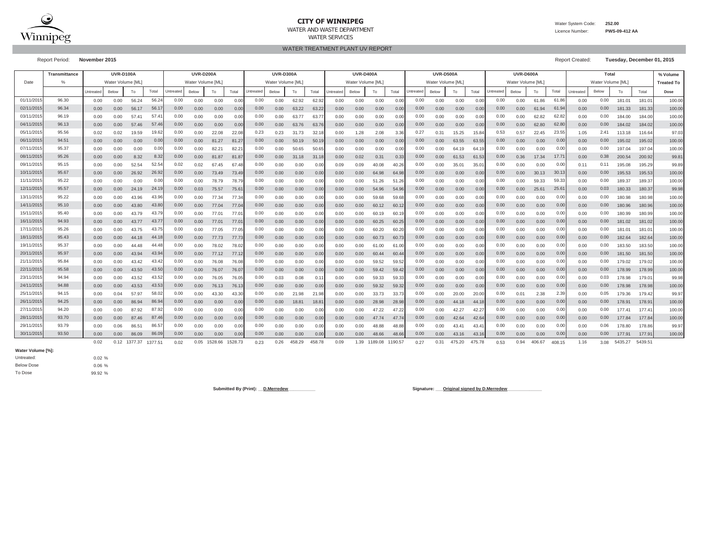

#### **CITY OF WINNIPEG**

Water System Code: **252.00**

 Licence Number:**PWS-09-412 AA**

WATER TREATMENT PLANT UV REPORT

Report Period: **November 2015** Report Created: **Tuesday, December 01, 2015**

|           | <b>Transmittance</b> |           | <b>UVR-D100A</b><br><b>UVR-D200A</b><br><b>UVR-D300A</b> |         |         |           |                   |         | <b>UVR-D400A</b> |                                        |       |        | <b>UVR-D500A</b> |           |       |         | UVR-D600A         |           |       | Total          |                   |           |       | % Volume          |        |           |       |                   |         |        |
|-----------|----------------------|-----------|----------------------------------------------------------|---------|---------|-----------|-------------------|---------|------------------|----------------------------------------|-------|--------|------------------|-----------|-------|---------|-------------------|-----------|-------|----------------|-------------------|-----------|-------|-------------------|--------|-----------|-------|-------------------|---------|--------|
| Date      | $\%$                 |           | Water Volume [ML]                                        |         |         |           | Water Volume [ML] |         |                  | Water Volume [ML]<br>Water Volume [ML] |       |        |                  |           |       |         | Water Volume [ML] |           |       |                | Water Volume [ML] |           |       | Water Volume [ML] |        |           |       | <b>Treated To</b> |         |        |
|           |                      | Untreated | Below                                                    | To      | Total   | Untreated | Below             | To      | Total            | Untreated                              | Below | To     | Total            | Untreated | Below | To      | Total             | Jntreated | Below | To             | Total             | Untreated | Below | To                | Total  | Untreated | Below | To                | Total   | Dose   |
| 01/11/201 | 96.30                | 0.00      | 0.00                                                     | 56.24   | 56.2    | 0.00      | 0.00              | 0.00    | 0.00             | 0.00                                   | 0.00  | 62.92  | 62.92            | 0.00      | 0.00  | 0.00    | 0.0(              | 0.00      | 0.00  | 0.00           | 0.00              | 0.00      | 0.00  | 61.86             | 61.86  | 0.00      | 0.00  | 181.01            | 181.0   | 100.00 |
| 02/11/201 | 96.34                | 0.00      | 0.00                                                     | 56.17   | 56.1    | 0.00      | 0.00              | 0.00    | 0.00             | 0.00                                   | 0.00  | 63.22  | 63.22            | 0.00      | 0.00  | 0.00    | 0.00              | 0.00      | 0.00  | 0.00           | 0.00              | 0.00      | 0.00  | 61.94             | 61.9   | 0.00      | 0.00  | 181.33            | 181.33  | 100.00 |
| 03/11/201 | 96.19                | 0.00      | 0.00                                                     | 57.41   | 57.4    | 0.00      | 0.00              | 0.00    | 0.00             | 0.00                                   | 0.00  | 63.77  | 63.7             | 0.00      | 0.00  | 0.00    | 0.00              | 0.00      | 0.00  | 0.00           | 0.00              | 0.00      | 0.00  | 62.82             | 62.82  | 0.00      | 0.00  | 184.00            | 184.00  | 100.00 |
| 04/11/201 | 96.13                | 0.00      | 0.00                                                     | 57.46   | 57.4    | 0.00      | 0.00              | 0.00    | 0.00             | 0.00                                   | 0.00  | 63.76  | 63.76            | 0.00      | 0.00  | 0.00    | 0.00              | 0.00      | 0.00  | 0.00           | 0.00              | 0.00      | 0.00  | 62.80             | 62.80  | 0.00      | 0.00  | 184.02            | 184.02  | 100.00 |
| 05/11/201 | 95.56                | 0.02      | 0.02                                                     | 19.59   | 19.62   | 0.00      | 0.00              | 22.08   | 22.0             | 0.23                                   | 0.23  | 31.73  | 32.1             | 0.00      | 1.28  | 2.08    | 3.36              | 0.27      | 0.31  | 15.25          | 15.84             | 0.53      | 0.57  | 22.45             | 23.55  | 1.05      | 2.41  | 113.18            | 116.64  | 97.03  |
| 06/11/201 | 94.51                | 0.00      | 0.00                                                     | 0.00    | 0.00    | 0.00      | 0.00              | 81.27   | 81.2             | 0.00                                   | 0.00  | 50.19  | 50.1             | 0.00      | 0.00  | 0.00    | 0.0(              | 0.00      | 0.00  | 63.55          | 63.55             | 0.00      | 0.00  | 0.00              | 0.00   | 0.00      | 0.00  | 195.02            | 195.02  | 100.00 |
| 07/11/201 | 95.37                | 0.00      | 0.00                                                     | 0.00    | 0.01    | 0.00      | 0.00              | 82.21   | 82.2             | 0.00                                   | 0.00  | 50.65  | 50.6             | 0.00      | 0.00  | 0.00    | 0.00              | 0.00      | 0.00  | 64.19          | 64.               | 0.00      | 0.00  | 0.00              | 0.00   | 0.00      | 0.00  | 197.04            | 197.04  | 100.00 |
| 08/11/201 | 95.26                | 0.00      | 0.00                                                     | 8.32    | 8.32    | 0.00      | 0.00              | 81.87   | 81.8             | 0.00                                   | 0.00  | 31.18  | 31.18            | 0.00      | 0.02  | 0.31    | 0.33              | 0.00      | 0.00  | 61.53          | 61.53             | 0.00      | 0.36  | 17.34             | 17.7'  | 0.00      | 0.38  | 200.54            | 200.92  | 99.81  |
| 09/11/201 | 95.15                | 0.00      | 0.00                                                     | 52.54   | 52.54   | 0.02      | 0.02              | 67.45   | 67.4             | 0.00                                   | 0.00  | 0.00   | 0.00             | 0.09      | 0.09  | 40.08   | 40.2              | 0.00      | 0.00  | 35.01          | $35.0^{\circ}$    | 0.00      | 0.00  | 0.00              | 0.00   | 0.11      | 0.11  | 195.08            | 195.29  | 99.89  |
| 10/11/201 | 95.67                | 0.00      | 0.00                                                     | 26.92   | 26.92   | 0.00      | 0.00              | 73.49   | 73.49            | 0.00                                   | 0.00  | 0.00   | 0.00             | 0.00      | 0.00  | 64.98   | 64.9              | 0.00      | 0.00  | 0.00           | 0.00              | 0.00      | 0.00  | 30.13             | 30.13  | 0.00      | 0.00  | 195.53            | 195.53  | 100.00 |
| 11/11/201 | 95.22                | 0.00      | 0.00                                                     | 0.00    | 0.00    | 0.00      | 0.00              | 78.79   | 78.79            | 0.00                                   | 0.00  | 0.00   | 0.00             | 0.00      | 0.00  | 51.26   | 51.26             | 0.00      | 0.00  | 0.00           | 0.00              | 0.00      | 0.00  | 59.33             | 59.33  | 0.00      | 0.00  | 189.37            | 189.37  | 100.00 |
| 12/11/201 | 95.57                | 0.00      | 0.00                                                     | 24.19   | 24.1    | 0.00      | 0.03              | 75.57   | 75.6             | 0.00                                   | 0.00  | 0.00   | 0.00             | 0.00      | 0.00  | 54.96   | 54.96             | 0.00      | 0.00  | 0.00           | 0.00              | 0.00      | 0.00  | 25.61             | 25.6'  | 0.00      | 0.03  | 180.33            | 180.37  | 99.98  |
| 13/11/201 | 95.22                | 0.00      | 0.00                                                     | 43.96   | 43.9    | 0.00      | 0.00              | 77.34   | 77.3             | 0.00                                   | 0.00  | 0.00   | 0.0(             | 0.00      | 0.00  | 59.68   | 59.6              | 0.00      | 0.00  | 0.00           | 0.00              | 0.00      | 0.00  | 0.00              | 0.00   | 0.00      | 0.00  | 180.98            | 180.98  | 100.00 |
| 14/11/201 | 95.10                | 0.00      | 0.00                                                     | 43.80   | 43.8    | 0.00      | 0.00              | 77.04   | 77.0             | 0.00                                   | 0.00  | 0.00   | 0.00             | 0.00      | 0.00  | 60.12   | 60.1              | 0.00      | 0.00  | 0.00           | 0.00              | 0.00      | 0.00  | 0.00              | 0.00   | 0.00      | 0.00  | 180.96            | 180.96  | 100.00 |
| 15/11/201 | 95.40                | 0.00      | 0.00                                                     | 43.79   | 43.7    | 0.00      | 0.00              | 77.01   | 77.0             | 0.00                                   | 0.00  | 0.00   | 0.00             | 0.00      | 0.00  | 60.19   | 60.1              | 0.00      | 0.00  | 0.00           | 0.00              | 0.00      | 0.00  | 0.00              | 0.00   | 0.00      | 0.00  | 180.99            | 180.99  | 100.00 |
| 16/11/201 | 94.93                | 0.00      | 0.00                                                     | 43.77   | 43.7    | 0.00      | 0.00              | 77.01   | 77.0             | 0.00                                   | 0.00  | 0.00   | 0.00             | 0.00      | 0.00  | 60.25   | 60.2              | 0.00      | 0.00  | 0.00           | 0.00              | 0.00      | 0.00  | 0.00              | 0.00   | 0.00      | 0.00  | 181.02            | 181.02  | 100.00 |
| 17/11/201 | 95.26                | 0.00      | 0.00                                                     | 43.75   | 43.7    | 0.00      | 0.00              | 77.05   | 77.0             | 0.00                                   | 0.00  | 0.00   | 0.00             | 0.00      | 0.00  | 60.20   | 60.2              | 0.00      | 0.00  | 0.00           | 0.00              | 0.00      | 0.00  | 0.00              | 0.00   | 0.00      | 0.00  | 181.01            | 181.0   | 100.00 |
| 18/11/201 | 95.43                | 0.00      | 0.00                                                     | 44.18   | 44.1    | 0.00      | 0.00              | 77.73   | 77.73            | 0.00                                   | 0.00  | 0.00   | 0.00             | 0.00      | 0.00  | 60.73   | 60.7              | 0.00      | 0.00  | 0.00           | 0.00              | 0.00      | 0.00  | 0.00              | 0.00   | 0.00      | 0.00  | 182.64            | 182.64  | 100.00 |
| 19/11/201 | 95.37                | 0.00      | 0.00                                                     | 44.48   | 44.41   | 0.00      | 0.00              | 78.02   | 78.02            | 0.00                                   | 0.00  | 0.00   | 0.00             | 0.00      | 0.00  | 61.00   | 61.0              | 0.00      | 0.00  | 0.00           | 0.00              | 0.00      | 0.00  | 0.00              | 0.00   | 0.00      | 0.00  | 183.50            | 183.5   | 100.00 |
| 20/11/201 | 95.97                | 0.00      | 0.00                                                     | 43.94   | 43.9    | 0.00      | 0.00              | 77.12   | 77.1             | 0.00                                   | 0.00  | 0.00   | 0.00             | 0.00      | 0.00  | 60.44   | 60.4              | 0.00      | 0.00  | 0.00           | 0.00              | 0.00      | 0.00  | 0.00              | 0.00   | 0.00      | 0.00  | 181.50            | 181.5   | 100.00 |
| 21/11/201 | 95.84                | 0.00      | 0.00                                                     | 43.42   | 43.4    | 0.00      | 0.00              | 76.08   | 76.0             | 0.00                                   | 0.00  | 0.00   | 0.00             | 0.00      | 0.00  | 59.52   | 59.52             | 0.00      | 0.00  | 0.00           | 0.00              | 0.00      | 0.00  | 0.00              | 0.00   | 0.00      | 0.00  | 179.02            | 179.02  | 100.00 |
| 22/11/201 | 95.58                | 0.00      | 0.00                                                     | 43.50   | 43.5    | 0.00      | 0.00              | 76.07   | 76.07            | 0.00                                   | 0.00  | 0.00   | 0.00             | 0.00      | 0.00  | 59.42   | 59.4              | 0.00      | 0.00  | 0.00           | 0.00              | 0.00      | 0.00  | 0.00              | 0.00   | 0.00      | 0.00  | 178.99            | 178.99  | 100.00 |
| 23/11/201 | 94.94                | 0.00      | 0.00                                                     | 43.52   | 43.52   | 0.00      | 0.00              | 76.05   | 76.05            | 0.00                                   | 0.03  | 0.08   | 0.1              | 0.00      | 0.00  | 59.33   | 59.3              | 0.00      | 0.00  | 0.00           | 0.00              | 0.00      | 0.00  | 0.00              | 0.00   | 0.00      | 0.03  | 178.98            | 179.0   | 99.98  |
| 24/11/201 | 94.88                | 0.00      | 0.00                                                     | 43.53   | 43.53   | 0.00      | 0.00              | 76.13   | 76.13            | 0.00                                   | 0.00  | 0.00   | 0.00             | 0.00      | 0.00  | 59.32   | 59.32             | 0.00      | 0.00  | 0.00           | 0.00              | 0.00      | 0.00  | 0.00              | 0.00   | 0.00      | 0.00  | 178.98            | 178.98  | 100.00 |
| 25/11/201 | 94.15                | 0.00      | 0.04                                                     | 57.97   | 58.0    | 0.00      | 0.00              | 43.30   | 43.30            | 0.00                                   | 0.00  | 21.98  | 21.98            | 0.00      | 0.00  | 33.73   | 33.7              | 0.00      | 0.00  | 20.00          | 20.00             | 0.00      | 0.01  | 2.38              | 2.39   | 0.00      | 0.05  | 179.36            | 179.42  | 99.97  |
| 26/11/201 | 94.25                | 0.00      | 0.00                                                     | 86.94   | 86.9    | 0.00      | 0.00              | 0.00    | 0.00             | 0.00                                   | 0.00  | 18.81  | 18.8             | 0.00      | 0.00  | 28.98   | 28.98             | 0.00      | 0.00  | 44.18          | 44.1              | 0.00      | 0.00  | 0.00              | 0.00   | 0.00      | 0.00  | 178.91            | 178.9   | 100.00 |
| 27/11/201 | 94.20                | 0.00      | 0.00                                                     | 87.92   | 87.9    | 0.00      | 0.00              | 0.00    | 0.00             | 0.00                                   | 0.00  | 0.00   | 0.0(             | 0.00      | 0.00  | 47.22   | 47.2              | 0.00      | 0.00  | 42.27          | 42.2              | 0.00      | 0.00  | 0.00              | 0.0    | 0.00      | 0.00  | 177.41            | 177.4   | 100.00 |
| 28/11/201 | 93.70                | 0.00      | 0.00                                                     | 87.46   | 87.4    | 0.00      | 0.00              | 0.00    | 0.00             | 0.00                                   | 0.00  | 0.00   | 0.00             | 0.00      | 0.00  | 47.74   | 47.7              | 0.00      | 0.00  | 42.64          | 42.64             | 0.00      | 0.00  | 0.00              | 0.00   | 0.00      | 0.00  | 177.84            | 177.84  | 100.00 |
| 29/11/201 | 93.79                | 0.00      | 0.06                                                     | 86.51   | 86.57   | 0.00      | 0.00              | 0.00    | 0.00             | 0.00                                   | 0.00  | 0.00   | 0.00             | 0.00      | 0.00  | 48.88   | 48.8              | 0.00      | 0.00  | $43.4^{\circ}$ | 43.4              | 0.00      | 0.00  | 0.00              | 0.00   | 0.00      | 0.06  | 178.80            | 178.86  | 99.97  |
| 30/11/201 | 93.50                | 0.00      | 0.00                                                     | 86.09   | 86.0    | 0.00      | 0.00              | 0.00    | 0.00             | 0.00                                   | 0.00  | 0.00   | 0.00             | 0.00      | 0.00  | 48.66   | 48.6              | 0.00      | 0.00  | 43.16          | 43.16             | 0.00      | 0.00  | 0.00              | 0.00   | 0.00      | 0.00  | 177.91            | 177.9   | 100.00 |
|           |                      | 0.02      | 0.12                                                     | 1377.37 | 1377.51 | 0.02      | 0.05              | 1528.66 | 1528.73          | 0.23                                   | 0.26  | 458.29 | 458.78           | 0.09      | 1.39  | 1189.08 | 1190.57           | 0.27      | 0.31  | 475.20         | 475.78            | 0.53      | 0.94  | 406.67            | 408.15 | 1.16      | 3.08  | 5435.27           | 5439.51 |        |

**Water Volume [%]:**

Below Dose Untreated:

0.02 % 0.06 %99.92 %

To Dose

Submitted By (Print): <u>D.Merredew</u> **Communication Communication Communication Communication Communication Communication Communication Communication Communication Communication Communication Communication Communication Comm**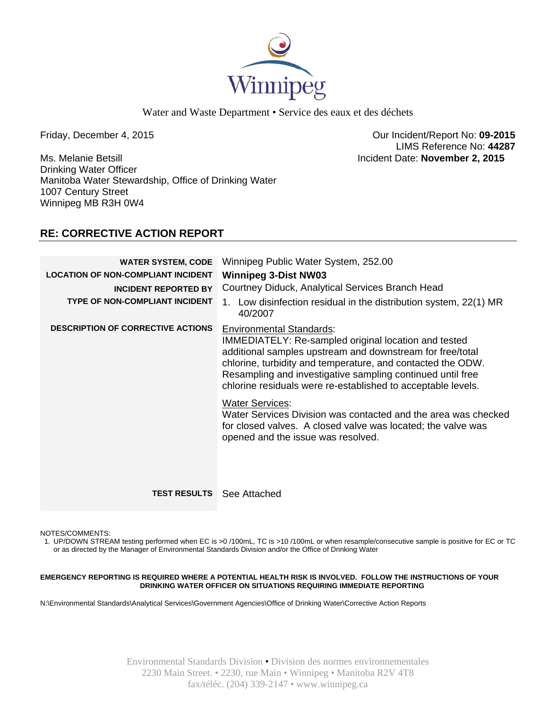

Water and Waste Department • Service des eaux et des déchets

Ms. Melanie Betsill Incident Date: **November 2, 2015**  Drinking Water Officer Manitoba Water Stewardship, Office of Drinking Water 1007 Century Street Winnipeg MB R3H 0W4

Friday, December 4, 2015 Our Incident/Report No: **09-2015**  LIMS Reference No: **44287**

# **RE: CORRECTIVE ACTION REPORT**

| <b>WATER SYSTEM, CODE</b><br><b>LOCATION OF NON-COMPLIANT INCIDENT</b><br><b>INCIDENT REPORTED BY</b><br><b>TYPE OF NON-COMPLIANT INCIDENT</b> | Winnipeg Public Water System, 252.00<br><b>Winnipeg 3-Dist NW03</b><br>Courtney Diduck, Analytical Services Branch Head<br>1. Low disinfection residual in the distribution system, 22(1) MR<br>40/2007                                                                                                                                                  |
|------------------------------------------------------------------------------------------------------------------------------------------------|----------------------------------------------------------------------------------------------------------------------------------------------------------------------------------------------------------------------------------------------------------------------------------------------------------------------------------------------------------|
| <b>DESCRIPTION OF CORRECTIVE ACTIONS</b>                                                                                                       | <b>Environmental Standards:</b><br><b>IMMEDIATELY: Re-sampled original location and tested</b><br>additional samples upstream and downstream for free/total<br>chlorine, turbidity and temperature, and contacted the ODW.<br>Resampling and investigative sampling continued until free<br>chlorine residuals were re-established to acceptable levels. |
|                                                                                                                                                | <b>Water Services:</b><br>Water Services Division was contacted and the area was checked<br>for closed valves. A closed valve was located; the valve was<br>opened and the issue was resolved.                                                                                                                                                           |
| <b>TEST RESULTS</b> See Attached                                                                                                               |                                                                                                                                                                                                                                                                                                                                                          |

NOTES/COMMENTS:

1. UP/DOWN STREAM testing performed when EC is >0 /100mL, TC is >10 /100mL or when resample/consecutive sample is positive for EC or TC or as directed by the Manager of Environmental Standards Division and/or the Office of Drinking Water

#### **EMERGENCY REPORTING IS REQUIRED WHERE A POTENTIAL HEALTH RISK IS INVOLVED. FOLLOW THE INSTRUCTIONS OF YOUR DRINKING WATER OFFICER ON SITUATIONS REQUIRING IMMEDIATE REPORTING**

N:\Environmental Standards\Analytical Services\Government Agencies\Office of Drinking Water\Corrective Action Reports